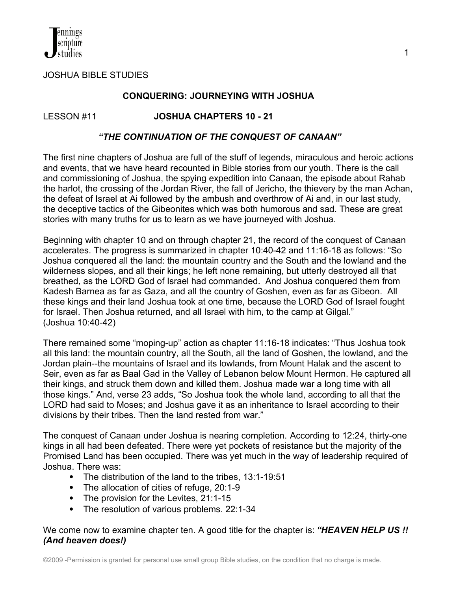

JOSHUA BIBLE STUDIES

#### **CONQUERING: JOURNEYING WITH JOSHUA**

LESSON #11 **JOSHUA CHAPTERS 10 - 21**

#### *"THE CONTINUATION OF THE CONQUEST OF CANAAN"*

The first nine chapters of Joshua are full of the stuff of legends, miraculous and heroic actions and events, that we have heard recounted in Bible stories from our youth. There is the call and commissioning of Joshua, the spying expedition into Canaan, the episode about Rahab the harlot, the crossing of the Jordan River, the fall of Jericho, the thievery by the man Achan, the defeat of Israel at Ai followed by the ambush and overthrow of Ai and, in our last study, the deceptive tactics of the Gibeonites which was both humorous and sad. These are great stories with many truths for us to learn as we have journeyed with Joshua.

Beginning with chapter 10 and on through chapter 21, the record of the conquest of Canaan accelerates. The progress is summarized in chapter 10:40-42 and 11:16-18 as follows: "So Joshua conquered all the land: the mountain country and the South and the lowland and the wilderness slopes, and all their kings; he left none remaining, but utterly destroyed all that breathed, as the LORD God of Israel had commanded. And Joshua conquered them from Kadesh Barnea as far as Gaza, and all the country of Goshen, even as far as Gibeon. All these kings and their land Joshua took at one time, because the LORD God of Israel fought for Israel. Then Joshua returned, and all Israel with him, to the camp at Gilgal." (Joshua 10:40-42)

There remained some "moping-up" action as chapter 11:16-18 indicates: "Thus Joshua took all this land: the mountain country, all the South, all the land of Goshen, the lowland, and the Jordan plain--the mountains of Israel and its lowlands, from Mount Halak and the ascent to Seir, even as far as Baal Gad in the Valley of Lebanon below Mount Hermon. He captured all their kings, and struck them down and killed them. Joshua made war a long time with all those kings." And, verse 23 adds, "So Joshua took the whole land, according to all that the LORD had said to Moses; and Joshua gave it as an inheritance to Israel according to their divisions by their tribes. Then the land rested from war."

The conquest of Canaan under Joshua is nearing completion. According to 12:24, thirty-one kings in all had been defeated. There were yet pockets of resistance but the majority of the Promised Land has been occupied. There was yet much in the way of leadership required of Joshua. There was:

- The distribution of the land to the tribes, 13:1-19:51
- The allocation of cities of refuge, 20:1-9
- The provision for the Levites, 21:1-15
- The resolution of various problems. 22:1-34

We come now to examine chapter ten. A good title for the chapter is: "HEAVEN HELP US! *(And heaven does!)*

©2009 -Permission is granted for personal use small group Bible studies, on the condition that no charge is made.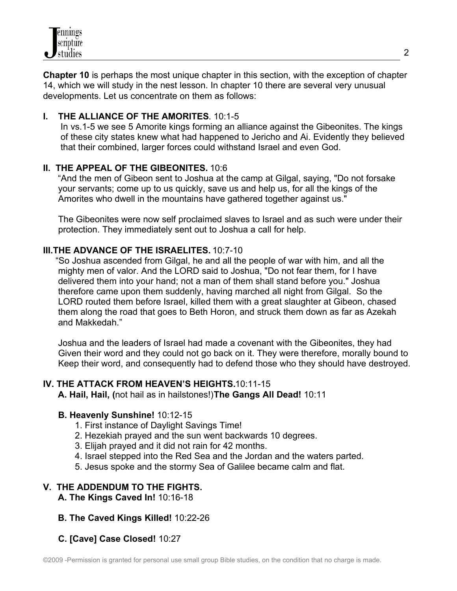**Chapter 10** is perhaps the most unique chapter in this section, with the exception of chapter 14, which we will study in the nest lesson. In chapter 10 there are several very unusual developments. Let us concentrate on them as follows:

# **I. THE ALLIANCE OF THE AMORITES**. 10:1-5

 In vs.1-5 we see 5 Amorite kings forming an alliance against the Gibeonites. The kings of these city states knew what had happened to Jericho and Ai. Evidently they believed that their combined, larger forces could withstand Israel and even God.

# **II. THE APPEAL OF THE GIBEONITES.** 10:6

"And the men of Gibeon sent to Joshua at the camp at Gilgal, saying, "Do not forsake your servants; come up to us quickly, save us and help us, for all the kings of the Amorites who dwell in the mountains have gathered together against us."

 The Gibeonites were now self proclaimed slaves to Israel and as such were under their protection. They immediately sent out to Joshua a call for help.

# **III.THE ADVANCE OF THE ISRAELITES.** 10:7-10

 "So Joshua ascended from Gilgal, he and all the people of war with him, and all the mighty men of valor. And the LORD said to Joshua, "Do not fear them, for I have delivered them into your hand; not a man of them shall stand before you." Joshua therefore came upon them suddenly, having marched all night from Gilgal. So the LORD routed them before Israel, killed them with a great slaughter at Gibeon, chased them along the road that goes to Beth Horon, and struck them down as far as Azekah and Makkedah."

 Joshua and the leaders of Israel had made a covenant with the Gibeonites, they had Given their word and they could not go back on it. They were therefore, morally bound to Keep their word, and consequently had to defend those who they should have destroyed.

# **IV. THE ATTACK FROM HEAVEN'S HEIGHTS.** 10:11-15

**A. Hail, Hail, (**not hail as in hailstones!)**The Gangs All Dead!** 10:11

# **B. Heavenly Sunshine!** 10:12-15

- 1. First instance of Daylight Savings Time!
- 2. Hezekiah prayed and the sun went backwards 10 degrees.
- 3. Elijah prayed and it did not rain for 42 months.
- 4. Israel stepped into the Red Sea and the Jordan and the waters parted.
- 5. Jesus spoke and the stormy Sea of Galilee became calm and flat.

# **V. THE ADDENDUM TO THE FIGHTS.**

**A. The Kings Caved In!** 10:16-18

# **B. The Caved Kings Killed!** 10:22-26

 **C. [Cave] Case Closed!** 10:27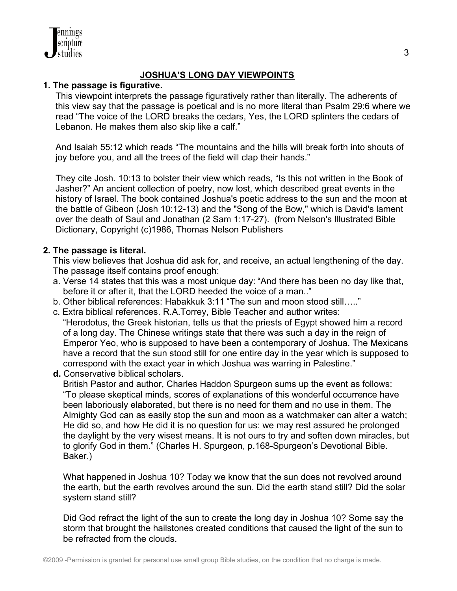

# **JOSHUA'S LONG DAY VIEWPOINTS**

# **1. The passage is figurative.**

 This viewpoint interprets the passage figuratively rather than literally. The adherents of this view say that the passage is poetical and is no more literal than Psalm 29:6 where we read "The voice of the LORD breaks the cedars, Yes, the LORD splinters the cedars of Lebanon. He makes them also skip like a calf."

 And Isaiah 55:12 which reads "The mountains and the hills will break forth into shouts of joy before you, and all the trees of the field will clap their hands."

 They cite Josh. 10:13 to bolster their view which reads, "Is this not written in the Book of Jasher?" An ancient collection of poetry, now lost, which described great events in the history of Israel. The book contained Joshua's poetic address to the sun and the moon at the battle of Gibeon (Josh 10:12-13) and the "Song of the Bow," which is David's lament over the death of Saul and Jonathan (2 Sam 1:17-27). (from Nelson's Illustrated Bible Dictionary, Copyright (c)1986, Thomas Nelson Publishers

# **2. The passage is literal.**

 This view believes that Joshua did ask for, and receive, an actual lengthening of the day. The passage itself contains proof enough:

- a. Verse 14 states that this was a most unique day: "And there has been no day like that, before it or after it, that the LORD heeded the voice of a man.."
- b. Other biblical references: Habakkuk 3:11 "The sun and moon stood still….."
- c. Extra biblical references. R.A.Torrey, Bible Teacher and author writes: "Herodotus, the Greek historian, tells us that the priests of Egypt showed him a record of a long day. The Chinese writings state that there was such a day in the reign of Emperor Yeo, who is supposed to have been a contemporary of Joshua. The Mexicans have a record that the sun stood still for one entire day in the year which is supposed to correspond with the exact year in which Joshua was warring in Palestine."
- **d.** Conservative biblical scholars.

 British Pastor and author, Charles Haddon Spurgeon sums up the event as follows: "To please skeptical minds, scores of explanations of this wonderful occurrence have been laboriously elaborated, but there is no need for them and no use in them. The Almighty God can as easily stop the sun and moon as a watchmaker can alter a watch; He did so, and how He did it is no question for us: we may rest assured he prolonged the daylight by the very wisest means. It is not ours to try and soften down miracles, but to glorify God in them." (Charles H. Spurgeon, p.168-Spurgeon's Devotional Bible. Baker.)

 What happened in Joshua 10? Today we know that the sun does not revolved around the earth, but the earth revolves around the sun. Did the earth stand still? Did the solar system stand still?

 Did God refract the light of the sun to create the long day in Joshua 10? Some say the storm that brought the hailstones created conditions that caused the light of the sun to be refracted from the clouds.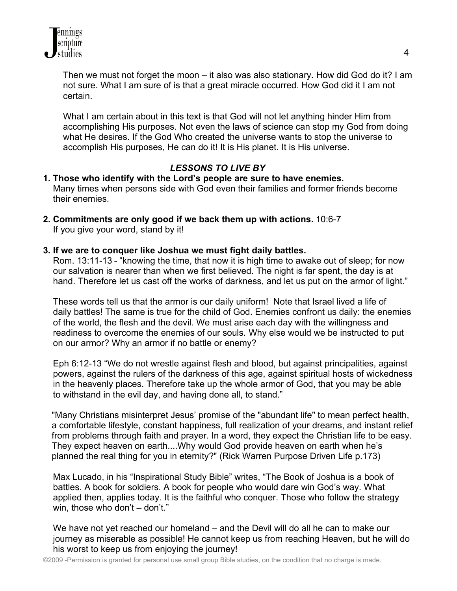Then we must not forget the moon – it also was also stationary. How did God do it? I am not sure. What I am sure of is that a great miracle occurred. How God did it I am not certain.

 What I am certain about in this text is that God will not let anything hinder Him from accomplishing His purposes. Not even the laws of science can stop my God from doing what He desires. If the God Who created the universe wants to stop the universe to accomplish His purposes, He can do it! It is His planet. It is His universe.

# *LESSONS TO LIVE BY*

#### **1. Those who identify with the Lord's people are sure to have enemies.** Many times when persons side with God even their families and former friends become their enemies.

**2. Commitments are only good if we back them up with actions.** 10:6-7 If you give your word, stand by it!

# **3. If we are to conquer like Joshua we must fight daily battles.**

Rom. 13:11-13 - "knowing the time, that now it is high time to awake out of sleep; for now our salvation is nearer than when we first believed. The night is far spent, the day is at hand. Therefore let us cast off the works of darkness, and let us put on the armor of light."

 These words tell us that the armor is our daily uniform! Note that Israel lived a life of daily battles! The same is true for the child of God. Enemies confront us daily: the enemies of the world, the flesh and the devil. We must arise each day with the willingness and readiness to overcome the enemies of our souls. Why else would we be instructed to put on our armor? Why an armor if no battle or enemy?

 Eph 6:12-13 "We do not wrestle against flesh and blood, but against principalities, against powers, against the rulers of the darkness of this age, against spiritual hosts of wickedness in the heavenly places. Therefore take up the whole armor of God, that you may be able to withstand in the evil day, and having done all, to stand."

"Many Christians misinterpret Jesus' promise of the "abundant life" to mean perfect health, a comfortable lifestyle, constant happiness, full realization of your dreams, and instant relief from problems through faith and prayer. In a word, they expect the Christian life to be easy. They expect heaven on earth....Why would God provide heaven on earth when he's planned the real thing for you in eternity?" (Rick Warren Purpose Driven Life p.173)

 Max Lucado, in his "Inspirational Study Bible" writes, "The Book of Joshua is a book of battles. A book for soldiers. A book for people who would dare win God's way. What applied then, applies today. It is the faithful who conquer. Those who follow the strategy win, those who don't – don't."

 We have not yet reached our homeland – and the Devil will do all he can to make our journey as miserable as possible! He cannot keep us from reaching Heaven, but he will do his worst to keep us from enjoying the journey!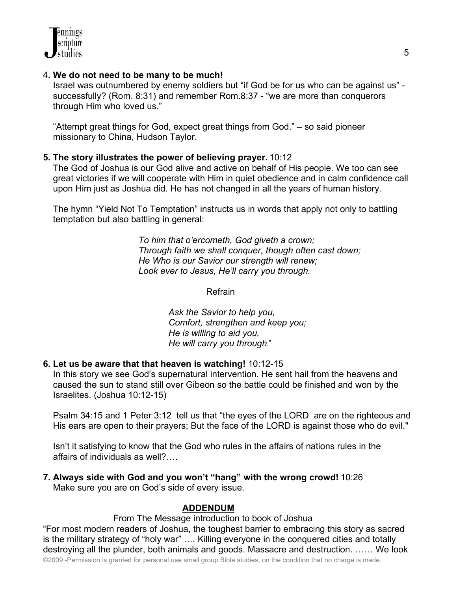#### 4**. We do not need to be many to be much!**

Israel was outnumbered by enemy soldiers but "if God be for us who can be against us" successfully? (Rom. 8:31) and remember Rom.8:37 - "we are more than conquerors through Him who loved us."

 "Attempt great things for God, expect great things from God." – so said pioneer missionary to China, Hudson Taylor.

#### **5. The story illustrates the power of believing prayer.** 10:12

The God of Joshua is our God alive and active on behalf of His people. We too can see great victories if we will cooperate with Him in quiet obedience and in calm confidence call upon Him just as Joshua did. He has not changed in all the years of human history.

 The hymn "Yield Not To Temptation" instructs us in words that apply not only to battling temptation but also battling in general:

> *To him that o'ercometh, God giveth a crown; Through faith we shall conquer, though often cast down; He Who is our Savior our strength will renew; Look ever to Jesus, He'll carry you through.*

> > Refrain

 *Ask the Savior to help you, Comfort, strengthen and keep you; He is willing to aid you, He will carry you through*."

**6. Let us be aware that that heaven is watching!** 10:12-15

 In this story we see God's supernatural intervention. He sent hail from the heavens and caused the sun to stand still over Gibeon so the battle could be finished and won by the Israelites. (Joshua 10:12-15)

 Psalm 34:15 and 1 Peter 3:12 tell us that "the eyes of the LORD are on the righteous and His ears are open to their prayers; But the face of the LORD is against those who do evil."

 Isn't it satisfying to know that the God who rules in the affairs of nations rules in the affairs of individuals as well?….

**7. Always side with God and you won't "hang" with the wrong crowd!** 10:26 Make sure you are on God's side of every issue.

# **ADDENDUM**

From The Message introduction to book of Joshua

"For most modern readers of Joshua, the toughest barrier to embracing this story as sacred is the military strategy of "holy war" …. Killing everyone in the conquered cities and totally destroying all the plunder, both animals and goods. Massacre and destruction. …… We look

©2009 -Permission is granted for personal use small group Bible studies, on the condition that no charge is made.